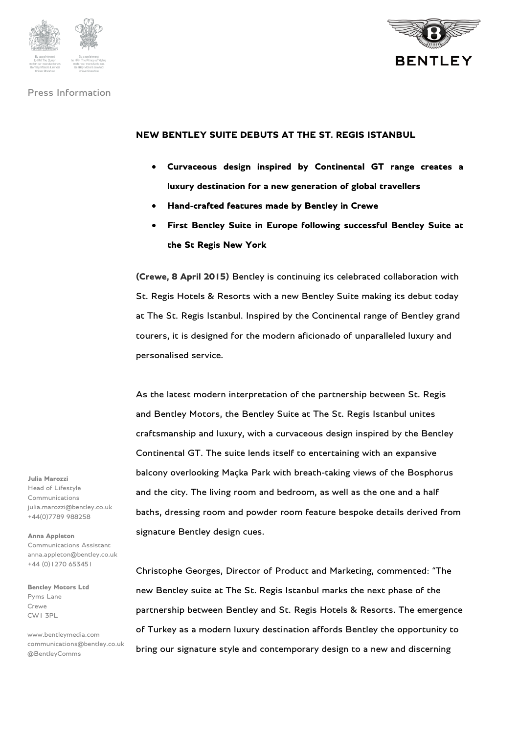





#### **NEW BENTLEY SUITE DEBUTS AT THE ST. REGIS ISTANBUL**

- **Curvaceous design inspired by Continental GT range creates a luxury destination for a new generation of global travellers**
- **Hand-crafted features made by Bentley in Crewe**
- **First Bentley Suite in Europe following successful Bentley Suite at the St Regis New York**

**(Crewe, 8 April 2015)** Bentley is continuing its celebrated collaboration with St. Regis Hotels & Resorts with a new Bentley Suite making its debut today at The St. Regis Istanbul. Inspired by the Continental range of Bentley grand tourers, it is designed for the modern aficionado of unparalleled luxury and personalised service.

As the latest modern interpretation of the partnership between St. Regis and Bentley Motors, the Bentley Suite at The St. Regis Istanbul unites craftsmanship and luxury, with a curvaceous design inspired by the Bentley Continental GT. The suite lends itself to entertaining with an expansive balcony overlooking Maçka Park with breath-taking views of the Bosphorus and the city. The living room and bedroom, as well as the one and a half baths, dressing room and powder room feature bespoke details derived from signature Bentley design cues.

Christophe Georges, Director of Product and Marketing, commented: "The new Bentley suite at The St. Regis Istanbul marks the next phase of the partnership between Bentley and St. Regis Hotels & Resorts. The emergence of Turkey as a modern luxury destination affords Bentley the opportunity to bring our signature style and contemporary design to a new and discerning

**Julia Marozzi**

Head of Lifestyle Communications julia.marozzi@bentley.co.uk +44(0)7789 988258

**Anna Appleton** Communications Assistant anna.appleton@bentley.co.uk +44 (0)1270 653451

**Bentley Motors Ltd** Pyms Lane Crewe CW1 3PL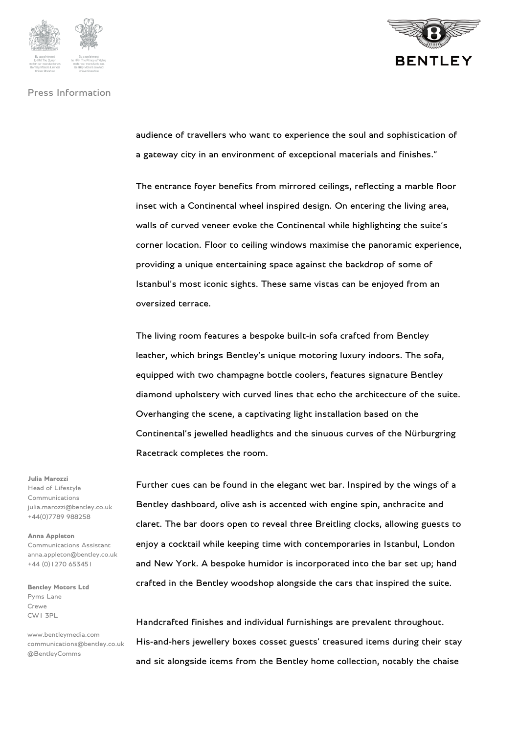



audience of travellers who want to experience the soul and sophistication of a gateway city in an environment of exceptional materials and finishes."

The entrance foyer benefits from mirrored ceilings, reflecting a marble floor inset with a Continental wheel inspired design. On entering the living area, walls of curved veneer evoke the Continental while highlighting the suite's corner location. Floor to ceiling windows maximise the panoramic experience, providing a unique entertaining space against the backdrop of some of Istanbul's most iconic sights. These same vistas can be enjoyed from an oversized terrace.

The living room features a bespoke built-in sofa crafted from Bentley leather, which brings Bentley's unique motoring luxury indoors. The sofa, equipped with two champagne bottle coolers, features signature Bentley diamond upholstery with curved lines that echo the architecture of the suite. Overhanging the scene, a captivating light installation based on the Continental's jewelled headlights and the sinuous curves of the Nürburgring Racetrack completes the room.

Further cues can be found in the elegant wet bar. Inspired by the wings of a Bentley dashboard, olive ash is accented with engine spin, anthracite and claret. The bar doors open to reveal three Breitling clocks, allowing guests to enjoy a cocktail while keeping time with contemporaries in Istanbul, London and New York. A bespoke humidor is incorporated into the bar set up; hand crafted in the Bentley woodshop alongside the cars that inspired the suite.

Handcrafted finishes and individual furnishings are prevalent throughout. His-and-hers jewellery boxes cosset guests' treasured items during their stay and sit alongside items from the Bentley home collection, notably the chaise

#### **Julia Marozzi**

Head of Lifestyle Communications julia.marozzi@bentley.co.uk +44(0)7789 988258

**Anna Appleton** Communications Assistant anna.appleton@bentley.co.uk +44 (0)1270 653451

**Bentley Motors Ltd** Pyms Lane Crewe CW1 3PL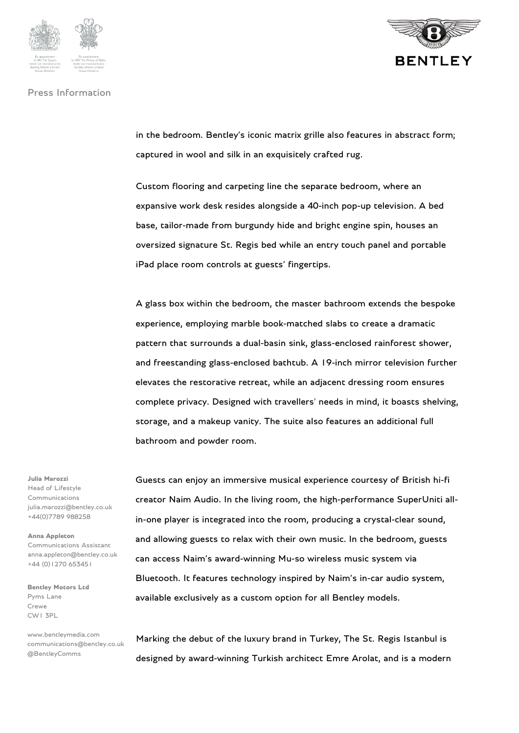



in the bedroom. Bentley's iconic matrix grille also features in abstract form; captured in wool and silk in an exquisitely crafted rug.

Custom flooring and carpeting line the separate bedroom, where an expansive work desk resides alongside a 40-inch pop-up television. A bed base, tailor-made from burgundy hide and bright engine spin, houses an oversized signature St. Regis bed while an entry touch panel and portable iPad place room controls at guests' fingertips.

A glass box within the bedroom, the master bathroom extends the bespoke experience, employing marble book-matched slabs to create a dramatic pattern that surrounds a dual-basin sink, glass-enclosed rainforest shower, and freestanding glass-enclosed bathtub. A 19-inch mirror television further elevates the restorative retreat, while an adjacent dressing room ensures complete privacy. Designed with travellers' needs in mind, it boasts shelving, storage, and a makeup vanity. The suite also features an additional full bathroom and powder room.

Guests can enjoy an immersive musical experience courtesy of British hi-fi creator Naim Audio. In the living room, the high-performance SuperUniti allin-one player is integrated into the room, producing a crystal-clear sound, and allowing guests to relax with their own music. In the bedroom, guests can access Naim's award-winning Mu-so wireless music system via Bluetooth. It features technology inspired by Naim's in-car audio system, available exclusively as a custom option for all Bentley models.

Marking the debut of the luxury brand in Turkey, The St. Regis Istanbul is designed by award-winning Turkish architect Emre Arolat, and is a modern

# **Julia Marozzi**

Head of Lifestyle Communications julia.marozzi@bentley.co.uk +44(0)7789 988258

**Anna Appleton** Communications Assistant anna.appleton@bentley.co.uk +44 (0)1270 653451

**Bentley Motors Ltd** Pyms Lane Crewe CW1 3PL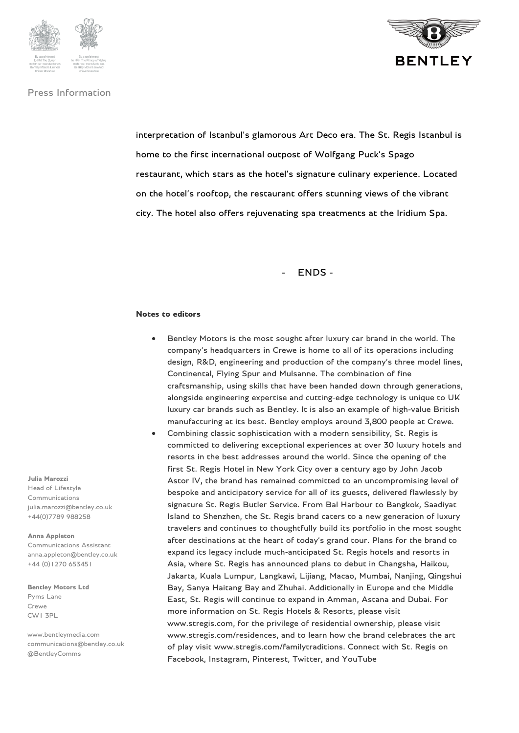



interpretation of Istanbul's glamorous Art Deco era. The St. Regis Istanbul is home to the first international outpost of Wolfgang Puck's Spago restaurant, which stars as the hotel's signature culinary experience. Located on the hotel's rooftop, the restaurant offers stunning views of the vibrant city. The hotel also offers rejuvenating spa treatments at the Iridium Spa.

#### - ENDS -

#### **Notes to editors**

- Bentley Motors is the most sought after luxury car brand in the world. The company's headquarters in Crewe is home to all of its operations including design, R&D, engineering and production of the company's three model lines, Continental, Flying Spur and Mulsanne. The combination of fine craftsmanship, using skills that have been handed down through generations, alongside engineering expertise and cutting-edge technology is unique to UK luxury car brands such as Bentley. It is also an example of high-value British manufacturing at its best. Bentley employs around 3,800 people at Crewe.
- Combining classic sophistication with a modern sensibility, St. Regis is committed to delivering exceptional experiences at over 30 luxury hotels and resorts in the best addresses around the world. Since the opening of the first St. Regis Hotel in New York City over a century ago by John Jacob Astor IV, the brand has remained committed to an uncompromising level of bespoke and anticipatory service for all of its guests, delivered flawlessly by signature St. Regis Butler Service. From Bal Harbour to Bangkok, Saadiyat Island to Shenzhen, the St. Regis brand caters to a new generation of luxury travelers and continues to thoughtfully build its portfolio in the most sought after destinations at the heart of today's grand tour. Plans for the brand to expand its legacy include much-anticipated St. Regis hotels and resorts in Asia, where St. Regis has announced plans to debut in Changsha, Haikou, Jakarta, Kuala Lumpur, Langkawi, Lijiang, Macao, Mumbai, Nanjing, Qingshui Bay, Sanya Haitang Bay and Zhuhai. Additionally in Europe and the Middle East, St. Regis will continue to expand in Amman, Astana and Dubai. For more information on St. Regis Hotels & Resorts, please visit www.stregis.com, for the privilege of residential ownership, please visit www.stregis.com/residences, and to learn how the brand celebrates the art of play visit www.stregis.com/familytraditions. Connect with St. Regis on Facebook, Instagram, Pinterest, Twitter, and YouTube

#### **Julia Marozzi**

Head of Lifestyle Communications julia.marozzi@bentley.co.uk +44(0)7789 988258

#### **Anna Appleton**

Communications Assistant anna.appleton@bentley.co.uk +44 (0)1270 653451

**Bentley Motors Ltd** Pyms Lane Crewe CW1 3PL